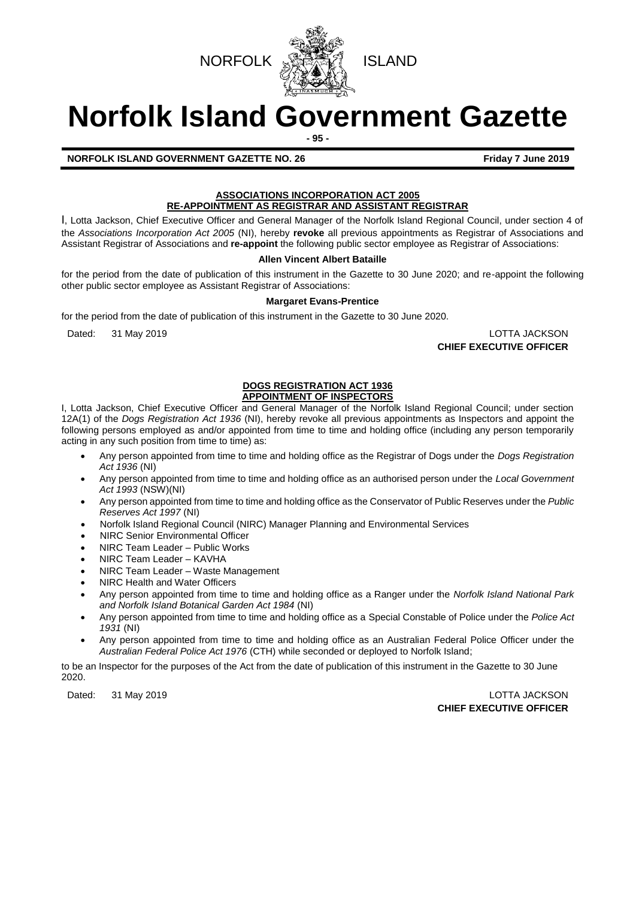



# **Norfolk Island Government Gazette**

**- 95 -**

**NORFOLK ISLAND GOVERNMENT GAZETTE NO. 26 Friday 7 June 2019** 

## **ASSOCIATIONS INCORPORATION ACT 2005**

**RE-APPOINTMENT AS REGISTRAR AND ASSISTANT REGISTRAR** I, Lotta Jackson, Chief Executive Officer and General Manager of the Norfolk Island Regional Council, under section 4 of the *Associations Incorporation Act 2005* (NI), hereby **revoke** all previous appointments as Registrar of Associations and

## Assistant Registrar of Associations and **re-appoint** the following public sector employee as Registrar of Associations: **Allen Vincent Albert Bataille**

for the period from the date of publication of this instrument in the Gazette to 30 June 2020; and re-appoint the following other public sector employee as Assistant Registrar of Associations:

## **Margaret Evans-Prentice**

for the period from the date of publication of this instrument in the Gazette to 30 June 2020.

Dated: 31 May 2019 LOTTA JACKSON

**CHIEF EXECUTIVE OFFICER**

## **DOGS REGISTRATION ACT 1936 APPOINTMENT OF INSPECTORS**

I, Lotta Jackson, Chief Executive Officer and General Manager of the Norfolk Island Regional Council; under section 12A(1) of the *Dogs Registration Act 1936* (NI), hereby revoke all previous appointments as Inspectors and appoint the following persons employed as and/or appointed from time to time and holding office (including any person temporarily acting in any such position from time to time) as:

- Any person appointed from time to time and holding office as the Registrar of Dogs under the *Dogs Registration Act 1936* (NI)
- Any person appointed from time to time and holding office as an authorised person under the *Local Government Act 1993* (NSW)(NI)
- Any person appointed from time to time and holding office as the Conservator of Public Reserves under the *Public Reserves Act 1997* (NI)
- Norfolk Island Regional Council (NIRC) Manager Planning and Environmental Services
- NIRC Senior Environmental Officer
- NIRC Team Leader Public Works
- NIRC Team Leader KAVHA
- NIRC Team Leader Waste Management
- NIRC Health and Water Officers
- Any person appointed from time to time and holding office as a Ranger under the *Norfolk Island National Park and Norfolk Island Botanical Garden Act 1984* (NI)
- Any person appointed from time to time and holding office as a Special Constable of Police under the *Police Act 1931* (NI)
- Any person appointed from time to time and holding office as an Australian Federal Police Officer under the *Australian Federal Police Act 1976* (CTH) while seconded or deployed to Norfolk Island;

to be an Inspector for the purposes of the Act from the date of publication of this instrument in the Gazette to 30 June 2020.

## Dated: 31 May 2019 LOTTA JACKSON **CHIEF EXECUTIVE OFFICER**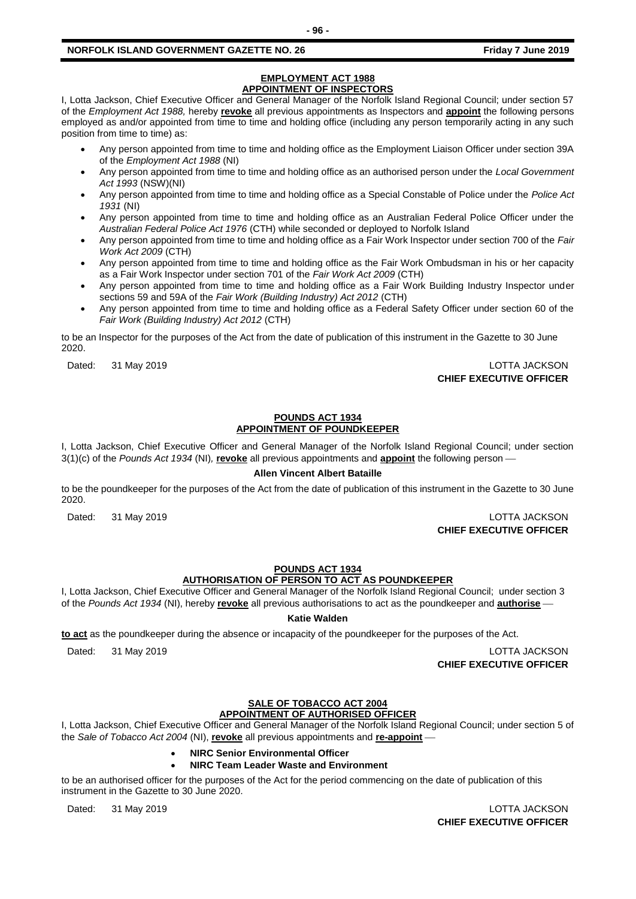## **EMPLOYMENT ACT 1988 APPOINTMENT OF INSPECTORS**

I, Lotta Jackson, Chief Executive Officer and General Manager of the Norfolk Island Regional Council; under section 57 of the *Employment Act 1988,* hereby **revoke** all previous appointments as Inspectors and **appoint** the following persons employed as and/or appointed from time to time and holding office (including any person temporarily acting in any such position from time to time) as:

- Any person appointed from time to time and holding office as the Employment Liaison Officer under section 39A of the *Employment Act 1988* (NI)
- Any person appointed from time to time and holding office as an authorised person under the *Local Government Act 1993* (NSW)(NI)
- Any person appointed from time to time and holding office as a Special Constable of Police under the *Police Act 1931* (NI)
- Any person appointed from time to time and holding office as an Australian Federal Police Officer under the *Australian Federal Police Act 1976* (CTH) while seconded or deployed to Norfolk Island
- Any person appointed from time to time and holding office as a Fair Work Inspector under section 700 of the *Fair Work Act 2009* (CTH)
- Any person appointed from time to time and holding office as the Fair Work Ombudsman in his or her capacity as a Fair Work Inspector under section 701 of the *Fair Work Act 2009* (CTH)
- Any person appointed from time to time and holding office as a Fair Work Building Industry Inspector under sections 59 and 59A of the *Fair Work (Building Industry) Act 2012* (CTH)
- Any person appointed from time to time and holding office as a Federal Safety Officer under section 60 of the *Fair Work (Building Industry) Act 2012* (CTH)

to be an Inspector for the purposes of the Act from the date of publication of this instrument in the Gazette to 30 June 2020.

Dated: 31 May 2019 LOTTA JACKSON **CHIEF EXECUTIVE OFFICER**

## **POUNDS ACT 1934 APPOINTMENT OF POUNDKEEPER**

I, Lotta Jackson, Chief Executive Officer and General Manager of the Norfolk Island Regional Council; under section 3(1)(c) of the *Pounds Act 1934* (NI), **revoke** all previous appointments and **appoint** the following person —

## **Allen Vincent Albert Bataille**

to be the poundkeeper for the purposes of the Act from the date of publication of this instrument in the Gazette to 30 June 2020.

Dated: 31 May 2019 LOTTA JACKSON **CHIEF EXECUTIVE OFFICER**

## **POUNDS ACT 1934**

**AUTHORISATION OF PERSON TO ACT AS POUNDKEEPER**

I, Lotta Jackson, Chief Executive Officer and General Manager of the Norfolk Island Regional Council; under section 3 of the Pounds Act 1934 (NI), hereby **revoke** all previous authorisations to act as the poundkeeper and **authorise** –

**Katie Walden**

to act as the poundkeeper during the absence or incapacity of the poundkeeper for the purposes of the Act.

Dated: 31 May 2019 LOTTA JACKSON

**CHIEF EXECUTIVE OFFICER**

## **SALE OF TOBACCO ACT 2004**

## **APPOINTMENT OF AUTHORISED OFFICER**

I, Lotta Jackson, Chief Executive Officer and General Manager of the Norfolk Island Regional Council; under section 5 of the *Sale of Tobacco Act 2004* (NI), revoke all previous appointments and re-appoint —

- **NIRC Senior Environmental Officer**
- **NIRC Team Leader Waste and Environment**

to be an authorised officer for the purposes of the Act for the period commencing on the date of publication of this instrument in the Gazette to 30 June 2020.

Dated: 31 May 2019 LOTTA JACKSON **CHIEF EXECUTIVE OFFICER**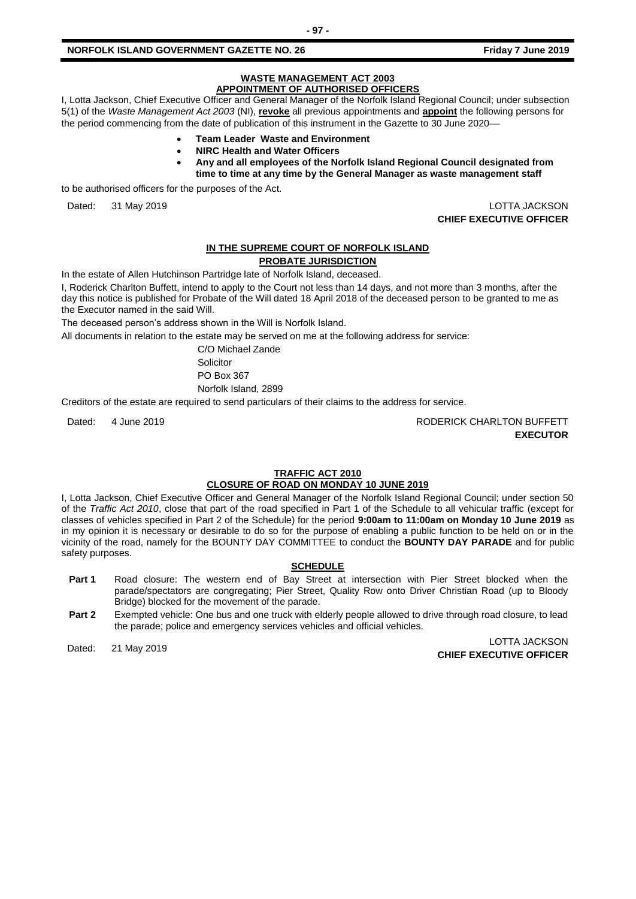#### **WASTE MANAGEMENT ACT 2003 APPOINTMENT OF AUTHORISED OFFICERS**

I, Lotta Jackson, Chief Executive Officer and General Manager of the Norfolk Island Regional Council; under subsection 5(1) of the *Waste Management Act 2003* (NI), **revoke** all previous appointments and **appoint** the following persons for the period commencing from the date of publication of this instrument in the Gazette to 30 June 2020–

- **Team Leader Waste and Environment**
- **NIRC Health and Water Officers**
- **Any and all employees of the Norfolk Island Regional Council designated from time to time at any time by the General Manager as waste management staff**

to be authorised officers for the purposes of the Act.

Dated: 31 May 2019 LOTTA JACKSON **CHIEF EXECUTIVE OFFICER**

## **IN THE SUPREME COURT OF NORFOLK ISLAND**

## **PROBATE JURISDICTION**

In the estate of Allen Hutchinson Partridge late of Norfolk Island, deceased.

I, Roderick Charlton Buffett, intend to apply to the Court not less than 14 days, and not more than 3 months, after the day this notice is published for Probate of the Will dated 18 April 2018 of the deceased person to be granted to me as the Executor named in the said Will.

The deceased person's address shown in the Will is Norfolk Island.

All documents in relation to the estate may be served on me at the following address for service:

C/O Michael Zande **Solicitor** PO Box 367 Norfolk Island, 2899

Creditors of the estate are required to send particulars of their claims to the address for service.

Dated: 4 June 2019 **RODERICK CHARLTON BUFFETT EXECUTOR**

## **TRAFFIC ACT 2010**

## **CLOSURE OF ROAD ON MONDAY 10 JUNE 2019**

I, Lotta Jackson, Chief Executive Officer and General Manager of the Norfolk Island Regional Council; under section 50 of the *Traffic Act 2010*, close that part of the road specified in Part 1 of the Schedule to all vehicular traffic (except for classes of vehicles specified in Part 2 of the Schedule) for the period **9:00am to 11:00am on Monday 10 June 2019** as in my opinion it is necessary or desirable to do so for the purpose of enabling a public function to be held on or in the vicinity of the road, namely for the BOUNTY DAY COMMITTEE to conduct the **BOUNTY DAY PARADE** and for public safety purposes.

## **SCHEDULE**

- **Part 1** Road closure: The western end of Bay Street at intersection with Pier Street blocked when the parade/spectators are congregating; Pier Street, Quality Row onto Driver Christian Road (up to Bloody Bridge) blocked for the movement of the parade.
- **Part 2** Exempted vehicle: One bus and one truck with elderly people allowed to drive through road closure, to lead the parade; police and emergency services vehicles and official vehicles.

Dated: 21 May 2019 LOTTA JACKSON **CHIEF EXECUTIVE OFFICER**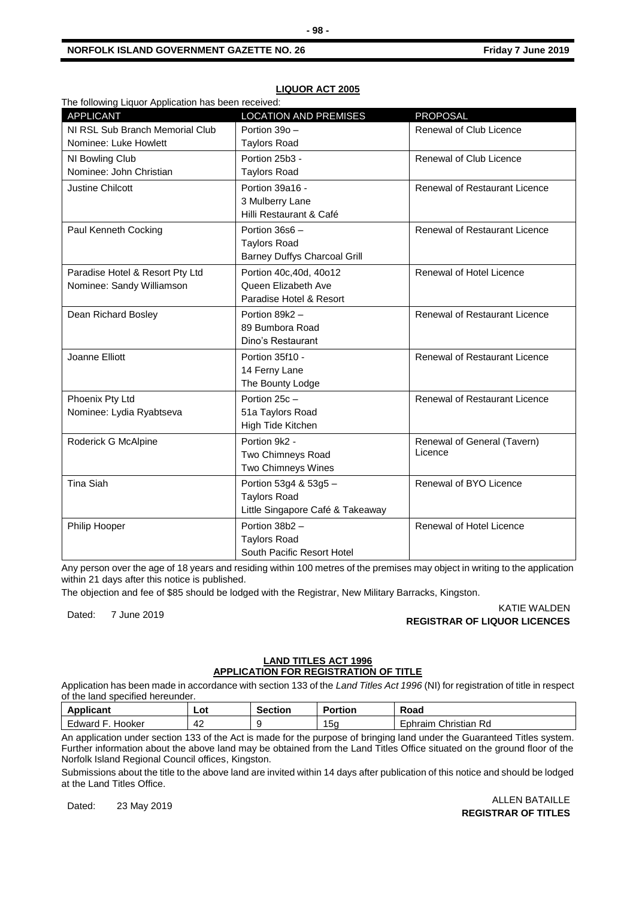| The following Liquor Application has been received: |                                     |                                      |  |
|-----------------------------------------------------|-------------------------------------|--------------------------------------|--|
| <b>APPLICANT</b>                                    | <b>LOCATION AND PREMISES</b>        | <b>PROPOSAL</b>                      |  |
| NI RSL Sub Branch Memorial Club                     | Portion 39o -                       | Renewal of Club Licence              |  |
| Nominee: Luke Howlett                               | <b>Taylors Road</b>                 |                                      |  |
| NI Bowling Club                                     | Portion 25b3 -                      | Renewal of Club Licence              |  |
| Nominee: John Christian                             | <b>Taylors Road</b>                 |                                      |  |
| <b>Justine Chilcott</b>                             | Portion 39a16 -                     | <b>Renewal of Restaurant Licence</b> |  |
|                                                     | 3 Mulberry Lane                     |                                      |  |
|                                                     | Hilli Restaurant & Café             |                                      |  |
| Paul Kenneth Cocking                                | Portion 36s6 -                      | Renewal of Restaurant Licence        |  |
|                                                     | <b>Taylors Road</b>                 |                                      |  |
|                                                     | <b>Barney Duffys Charcoal Grill</b> |                                      |  |
| Paradise Hotel & Resort Pty Ltd                     | Portion 40c, 40d, 40o12             | Renewal of Hotel Licence             |  |
| Nominee: Sandy Williamson                           | Queen Elizabeth Ave                 |                                      |  |
|                                                     | Paradise Hotel & Resort             |                                      |  |
| Dean Richard Bosley                                 | Portion 89k2 -                      | <b>Renewal of Restaurant Licence</b> |  |
|                                                     | 89 Bumbora Road                     |                                      |  |
|                                                     | Dino's Restaurant                   |                                      |  |
| Joanne Elliott                                      | Portion 35f10 -                     | Renewal of Restaurant Licence        |  |
|                                                     | 14 Ferny Lane                       |                                      |  |
|                                                     | The Bounty Lodge                    |                                      |  |
| Phoenix Pty Ltd                                     | Portion 25c -                       | Renewal of Restaurant Licence        |  |
| Nominee: Lydia Ryabtseva                            | 51a Taylors Road                    |                                      |  |
|                                                     | High Tide Kitchen                   |                                      |  |
| Roderick G McAlpine                                 | Portion 9k2 -                       | Renewal of General (Tavern)          |  |
|                                                     | Two Chimneys Road                   | Licence                              |  |
|                                                     | Two Chimneys Wines                  |                                      |  |
| <b>Tina Siah</b>                                    | Portion 53g4 & 53g5 -               | Renewal of BYO Licence               |  |
|                                                     | <b>Taylors Road</b>                 |                                      |  |
|                                                     | Little Singapore Café & Takeaway    |                                      |  |
| Philip Hooper                                       | Portion 38b2 -                      | Renewal of Hotel Licence             |  |
|                                                     | <b>Taylors Road</b>                 |                                      |  |
|                                                     | South Pacific Resort Hotel          |                                      |  |

## **LIQUOR ACT 2005**

Any person over the age of 18 years and residing within 100 metres of the premises may object in writing to the application within 21 days after this notice is published.

The objection and fee of \$85 should be lodged with the Registrar, New Military Barracks, Kingston.

KATIE WALDEN<br>Dated: 7 June 2019 KATIE WALDEN **REGISTRAR OF LIQUOR LICENCES**

## **LAND TITLES ACT 1996 APPLICATION FOR REGISTRATION OF TITLE**

Application has been made in accordance with section 133 of the *Land Titles Act 1996* (NI) for registration of title in respect of the land specified hereunder.

| <br>Applicant         | Lot | Section | <b>Portion</b> | Road                               |
|-----------------------|-----|---------|----------------|------------------------------------|
| Hooker<br>∟dward<br>- | 42  |         | '5α            | Christian<br>Rd<br><i>c</i> phraim |

An application under section 133 of the Act is made for the purpose of bringing land under the Guaranteed Titles system. Further information about the above land may be obtained from the Land Titles Office situated on the ground floor of the Norfolk Island Regional Council offices, Kingston.

Submissions about the title to the above land are invited within 14 days after publication of this notice and should be lodged at the Land Titles Office.

Dated: 23 May 2019 ALLEN BATAILLE **REGISTRAR OF TITLES**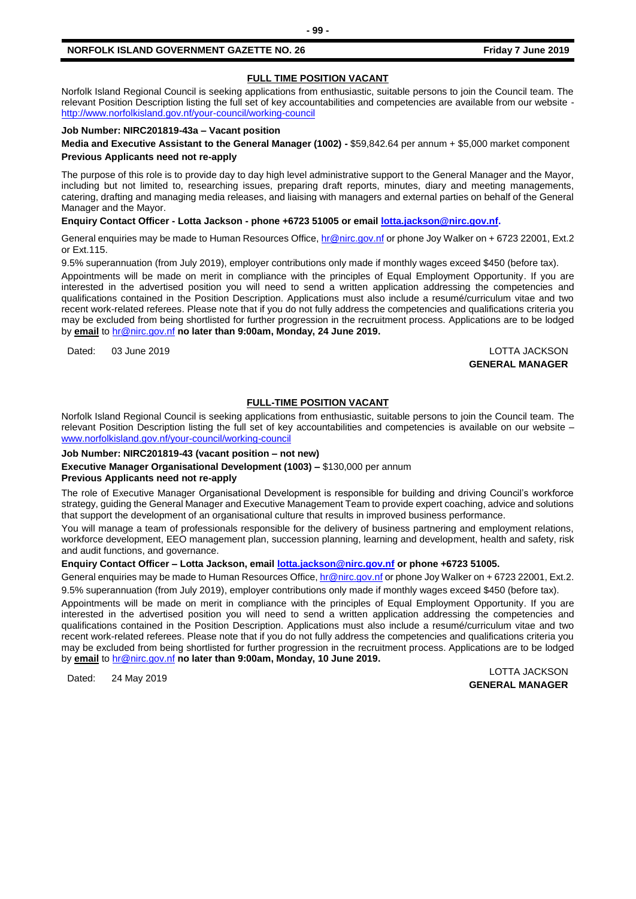## **FULL TIME POSITION VACANT**

Norfolk Island Regional Council is seeking applications from enthusiastic, suitable persons to join the Council team. The relevant Position Description listing the full set of key accountabilities and competencies are available from our website <http://www.norfolkisland.gov.nf/your-council/working-council>

## **Job Number: NIRC201819-43a – Vacant position**

**Media and Executive Assistant to the General Manager (1002) -** \$59,842.64 per annum + \$5,000 market component **Previous Applicants need not re-apply**

The purpose of this role is to provide day to day high level administrative support to the General Manager and the Mayor, including but not limited to, researching issues, preparing draft reports, minutes, diary and meeting managements, catering, drafting and managing media releases, and liaising with managers and external parties on behalf of the General Manager and the Mayor.

**Enquiry Contact Officer - Lotta Jackson - phone +6723 51005 or email [lotta.jackson@nirc.gov.nf.](mailto:lotta.jackson@nirc.gov.nf)**

General enquiries may be made to Human Resources Office, [hr@nirc.gov.nf](mailto:hr@nirc.gov.nf) or phone Joy Walker on + 6723 22001, Ext.2 or Ext.115.

9.5% superannuation (from July 2019), employer contributions only made if monthly wages exceed \$450 (before tax).

Appointments will be made on merit in compliance with the principles of Equal Employment Opportunity. If you are interested in the advertised position you will need to send a written application addressing the competencies and qualifications contained in the Position Description. Applications must also include a resumé/curriculum vitae and two recent work-related referees. Please note that if you do not fully address the competencies and qualifications criteria you may be excluded from being shortlisted for further progression in the recruitment process. Applications are to be lodged by **email** to [hr@nirc.gov.nf](mailto:hr@nirc.gov.nf) **no later than 9:00am, Monday, 24 June 2019.** 

Dated: 03 June 2019 LOTTA JACKSON

**GENERAL MANAGER**

## **FULL-TIME POSITION VACANT**

Norfolk Island Regional Council is seeking applications from enthusiastic, suitable persons to join the Council team. The relevant Position Description listing the full set of key accountabilities and competencies is available on our website – [www.norfolkisland.gov.nf/your-council/working-council](http://www.norfolkisland.gov.nf/your-council/working-council)

## **Job Number: NIRC201819-43 (vacant position – not new)**

**Executive Manager Organisational Development (1003) –** \$130,000 per annum

## **Previous Applicants need not re-apply**

The role of Executive Manager Organisational Development is responsible for building and driving Council's workforce strategy, guiding the General Manager and Executive Management Team to provide expert coaching, advice and solutions that support the development of an organisational culture that results in improved business performance.

You will manage a team of professionals responsible for the delivery of business partnering and employment relations, workforce development, EEO management plan, succession planning, learning and development, health and safety, risk and audit functions, and governance.

## **Enquiry Contact Officer – Lotta Jackson, emai[l lotta.jackson@nirc.gov.nf](mailto:lotta.jackson@nirc.gov.nf) or phone +6723 51005.**

General enquiries may be made to Human Resources Office, [hr@nirc.gov.nf](mailto:hr@nirc.gov.nf) or phone Joy Walker on + 6723 22001, Ext.2. 9.5% superannuation (from July 2019), employer contributions only made if monthly wages exceed \$450 (before tax).

Appointments will be made on merit in compliance with the principles of Equal Employment Opportunity. If you are interested in the advertised position you will need to send a written application addressing the competencies and qualifications contained in the Position Description. Applications must also include a resumé/curriculum vitae and two recent work-related referees. Please note that if you do not fully address the competencies and qualifications criteria you may be excluded from being shortlisted for further progression in the recruitment process. Applications are to be lodged by **email** to [hr@nirc.gov.nf](mailto:hr@nirc.gov.nf) **no later than 9:00am, Monday, 10 June 2019.** 

Dated: 24 May 2019 LOTTA JACKSON **GENERAL MANAGER**